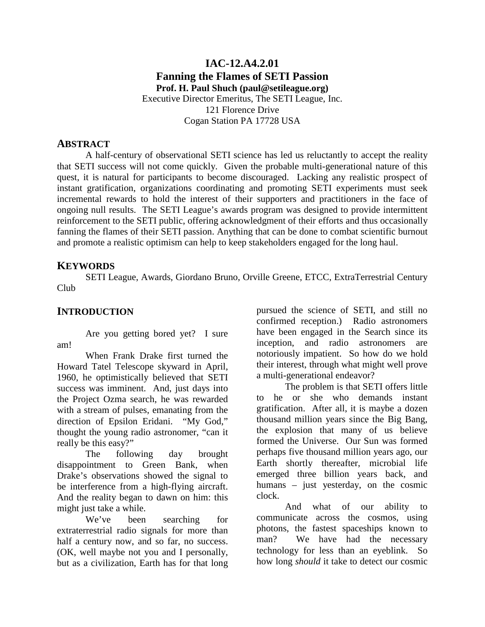### **IAC-12.A4.2.01 Fanning the Flames of SETI Passion Prof. H. Paul Shuch (paul@setileague.org)**  Executive Director Emeritus, The SETI League, Inc. 121 Florence Drive Cogan Station PA 17728 USA

#### **ABSTRACT**

 A half-century of observational SETI science has led us reluctantly to accept the reality that SETI success will not come quickly. Given the probable multi-generational nature of this quest, it is natural for participants to become discouraged. Lacking any realistic prospect of instant gratification, organizations coordinating and promoting SETI experiments must seek incremental rewards to hold the interest of their supporters and practitioners in the face of ongoing null results. The SETI League's awards program was designed to provide intermittent reinforcement to the SETI public, offering acknowledgment of their efforts and thus occasionally fanning the flames of their SETI passion. Anything that can be done to combat scientific burnout and promote a realistic optimism can help to keep stakeholders engaged for the long haul.

#### **KEYWORDS**

 SETI League, Awards, Giordano Bruno, Orville Greene, ETCC, ExtraTerrestrial Century Club

#### **INTRODUCTION**

Are you getting bored yet? I sure am!

When Frank Drake first turned the Howard Tatel Telescope skyward in April, 1960, he optimistically believed that SETI success was imminent. And, just days into the Project Ozma search, he was rewarded with a stream of pulses, emanating from the direction of Epsilon Eridani. "My God," thought the young radio astronomer, "can it really be this easy?"

The following day brought disappointment to Green Bank, when Drake's observations showed the signal to be interference from a high-flying aircraft. And the reality began to dawn on him: this might just take a while.

We've been searching for extraterrestrial radio signals for more than half a century now, and so far, no success. (OK, well maybe not you and I personally, but as a civilization, Earth has for that long

pursued the science of SETI, and still no confirmed reception.) Radio astronomers have been engaged in the Search since its inception, and radio astronomers are notoriously impatient. So how do we hold their interest, through what might well prove a multi-generational endeavor?

The problem is that SETI offers little to he or she who demands instant gratification. After all, it is maybe a dozen thousand million years since the Big Bang, the explosion that many of us believe formed the Universe. Our Sun was formed perhaps five thousand million years ago, our Earth shortly thereafter, microbial life emerged three billion years back, and humans – just yesterday, on the cosmic clock.

And what of our ability to communicate across the cosmos, using photons, the fastest spaceships known to man? We have had the necessary technology for less than an eyeblink. So how long *should* it take to detect our cosmic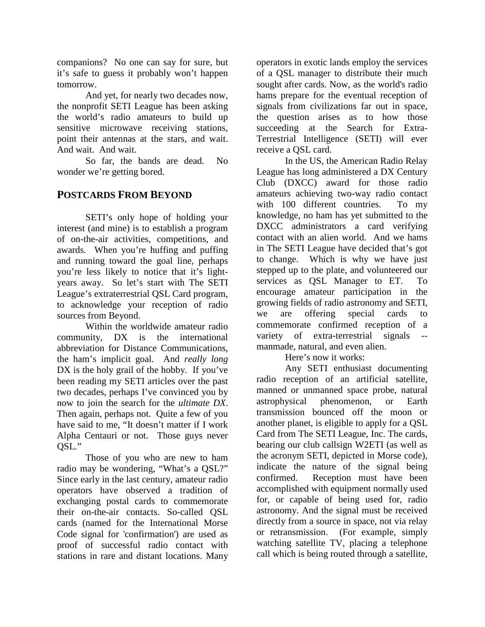companions? No one can say for sure, but it's safe to guess it probably won't happen tomorrow.

And yet, for nearly two decades now, the nonprofit SETI League has been asking the world's radio amateurs to build up sensitive microwave receiving stations, point their antennas at the stars, and wait. And wait. And wait.

So far, the bands are dead. No wonder we're getting bored.

## **POSTCARDS FROM BEYOND**

SETI's only hope of holding your interest (and mine) is to establish a program of on-the-air activities, competitions, and awards. When you're huffing and puffing and running toward the goal line, perhaps you're less likely to notice that it's lightyears away. So let's start with The SETI League's extraterrestrial QSL Card program, to acknowledge your reception of radio sources from Beyond.

Within the worldwide amateur radio community, DX is the international abbreviation for Distance Communications, the ham's implicit goal. And *really long* DX is the holy grail of the hobby. If you've been reading my SETI articles over the past two decades, perhaps I've convinced you by now to join the search for the *ultimate DX*. Then again, perhaps not. Quite a few of you have said to me, "It doesn't matter if I work Alpha Centauri or not. Those guys never OSL."

 Those of you who are new to ham radio may be wondering, "What's a QSL?" Since early in the last century, amateur radio operators have observed a tradition of exchanging postal cards to commemorate their on-the-air contacts. So-called QSL cards (named for the International Morse Code signal for 'confirmation') are used as proof of successful radio contact with stations in rare and distant locations. Many

operators in exotic lands employ the services of a QSL manager to distribute their much sought after cards. Now, as the world's radio hams prepare for the eventual reception of signals from civilizations far out in space, the question arises as to how those succeeding at the Search for Extra-Terrestrial Intelligence (SETI) will ever receive a QSL card.

In the US, the American Radio Relay League has long administered a DX Century Club (DXCC) award for those radio amateurs achieving two-way radio contact with 100 different countries. To my knowledge, no ham has yet submitted to the DXCC administrators a card verifying contact with an alien world. And we hams in The SETI League have decided that's got to change. Which is why we have just stepped up to the plate, and volunteered our services as QSL Manager to ET. To encourage amateur participation in the growing fields of radio astronomy and SETI, we are offering special cards to commemorate confirmed reception of a variety of extra-terrestrial signals manmade, natural, and even alien.

Here's now it works:

 Any SETI enthusiast documenting radio reception of an artificial satellite, manned or unmanned space probe, natural astrophysical phenomenon, or Earth transmission bounced off the moon or another planet, is eligible to apply for a QSL Card from The SETI League, Inc. The cards, bearing our club callsign W2ETI (as well as the acronym SETI, depicted in Morse code), indicate the nature of the signal being confirmed. Reception must have been accomplished with equipment normally used for, or capable of being used for, radio astronomy. And the signal must be received directly from a source in space, not via relay or retransmission. (For example, simply watching satellite TV, placing a telephone call which is being routed through a satellite,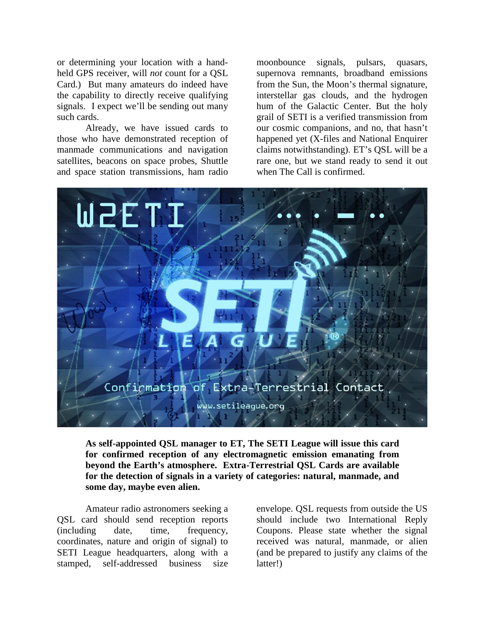or determining your location with a handheld GPS receiver, will *not* count for a QSL Card.) But many amateurs do indeed have the capability to directly receive qualifying signals. I expect we'll be sending out many such cards.

 Already, we have issued cards to those who have demonstrated reception of manmade communications and navigation satellites, beacons on space probes, Shuttle and space station transmissions, ham radio moonbounce signals, pulsars, quasars, supernova remnants, broadband emissions from the Sun, the Moon's thermal signature, interstellar gas clouds, and the hydrogen hum of the Galactic Center. But the holy grail of SETI is a verified transmission from our cosmic companions, and no, that hasn't happened yet (X-files and National Enquirer claims notwithstanding). ET's QSL will be a rare one, but we stand ready to send it out when The Call is confirmed.



**As self-appointed QSL manager to ET, The SETI League will issue this card for confirmed reception of any electromagnetic emission emanating from beyond the Earth's atmosphere. Extra-Terrestrial QSL Cards are available for the detection of signals in a variety of categories: natural, manmade, and some day, maybe even alien.** 

 Amateur radio astronomers seeking a QSL card should send reception reports (including date, time, frequency, coordinates, nature and origin of signal) to SETI League headquarters, along with a stamped, self-addressed business size

envelope. QSL requests from outside the US should include two International Reply Coupons. Please state whether the signal received was natural, manmade, or alien (and be prepared to justify any claims of the latter!)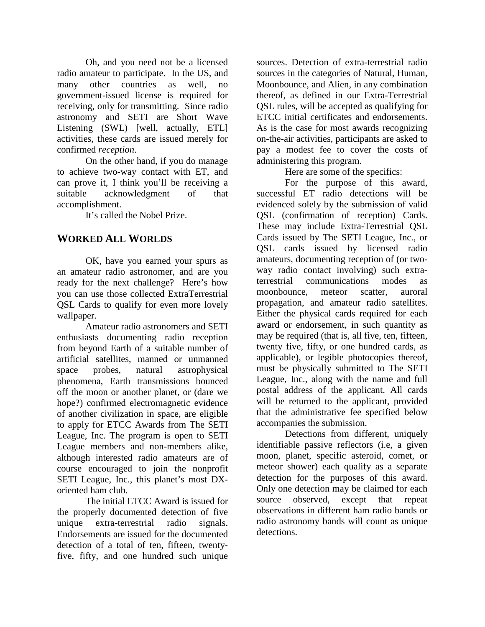Oh, and you need not be a licensed radio amateur to participate. In the US, and many other countries as well, no government-issued license is required for receiving, only for transmitting. Since radio astronomy and SETI are Short Wave Listening (SWL) [well, actually, ETL] activities, these cards are issued merely for confirmed *reception*.

 On the other hand, if you do manage to achieve two-way contact with ET, and can prove it, I think you'll be receiving a suitable acknowledgment of that accomplishment.

It's called the Nobel Prize.

## **WORKED ALL WORLDS**

 OK, have you earned your spurs as an amateur radio astronomer, and are you ready for the next challenge? Here's how you can use those collected ExtraTerrestrial QSL Cards to qualify for even more lovely wallpaper.

Amateur radio astronomers and SETI enthusiasts documenting radio reception from beyond Earth of a suitable number of artificial satellites, manned or unmanned space probes, natural astrophysical phenomena, Earth transmissions bounced off the moon or another planet, or (dare we hope?) confirmed electromagnetic evidence of another civilization in space, are eligible to apply for ETCC Awards from The SETI League, Inc. The program is open to SETI League members and non-members alike, although interested radio amateurs are of course encouraged to join the nonprofit SETI League, Inc., this planet's most DXoriented ham club.

The initial ETCC Award is issued for the properly documented detection of five unique extra-terrestrial radio signals. Endorsements are issued for the documented detection of a total of ten, fifteen, twentyfive, fifty, and one hundred such unique

sources. Detection of extra-terrestrial radio sources in the categories of Natural, Human, Moonbounce, and Alien, in any combination thereof, as defined in our Extra-Terrestrial QSL rules, will be accepted as qualifying for ETCC initial certificates and endorsements. As is the case for most awards recognizing on-the-air activities, participants are asked to pay a modest fee to cover the costs of administering this program.

Here are some of the specifics:

For the purpose of this award, successful ET radio detections will be evidenced solely by the submission of valid QSL (confirmation of reception) Cards. These may include Extra-Terrestrial QSL Cards issued by The SETI League, Inc., or QSL cards issued by licensed radio amateurs, documenting reception of (or twoway radio contact involving) such extraterrestrial communications modes as moonbounce, meteor scatter, auroral propagation, and amateur radio satellites. Either the physical cards required for each award or endorsement, in such quantity as may be required (that is, all five, ten, fifteen, twenty five, fifty, or one hundred cards, as applicable), or legible photocopies thereof, must be physically submitted to The SETI League, Inc., along with the name and full postal address of the applicant. All cards will be returned to the applicant, provided that the administrative fee specified below accompanies the submission.

Detections from different, uniquely identifiable passive reflectors (i.e, a given moon, planet, specific asteroid, comet, or meteor shower) each qualify as a separate detection for the purposes of this award. Only one detection may be claimed for each source observed, except that repeat observations in different ham radio bands or radio astronomy bands will count as unique detections.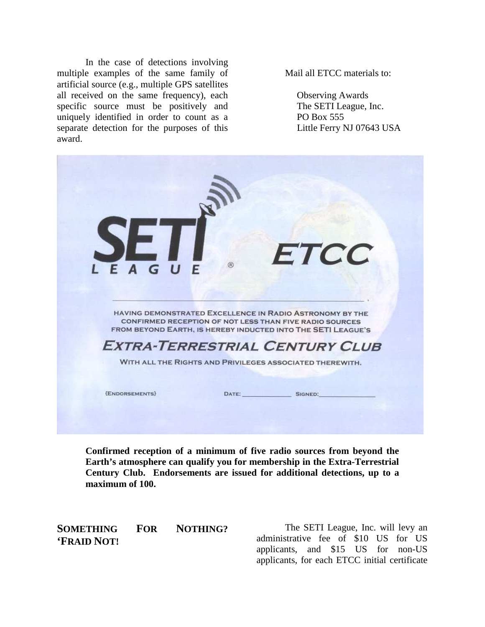In the case of detections involving multiple examples of the same family of artificial source (e.g., multiple GPS satellites all received on the same frequency), each specific source must be positively and uniquely identified in order to count as a separate detection for the purposes of this award.

Mail all ETCC materials to:

 Observing Awards The SETI League, Inc. PO Box 555 Little Ferry NJ 07643 USA



**Confirmed reception of a minimum of five radio sources from beyond the Earth's atmosphere can qualify you for membership in the Extra-Terrestrial Century Club. Endorsements are issued for additional detections, up to a maximum of 100.** 

**SOMETHING FOR NOTHING? 'FRAID NOT!** 

The SETI League, Inc. will levy an administrative fee of \$10 US for US applicants, and \$15 US for non-US applicants, for each ETCC initial certificate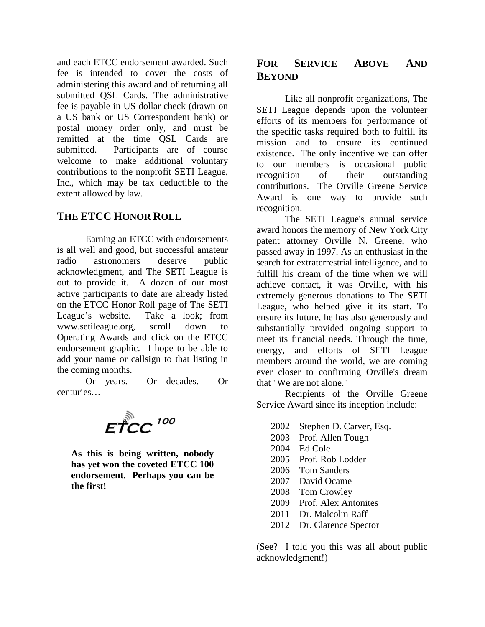and each ETCC endorsement awarded. Such fee is intended to cover the costs of administering this award and of returning all submitted QSL Cards. The administrative fee is payable in US dollar check (drawn on a US bank or US Correspondent bank) or postal money order only, and must be remitted at the time QSL Cards are submitted. Participants are of course welcome to make additional voluntary contributions to the nonprofit SETI League, Inc., which may be tax deductible to the extent allowed by law.

## **THE ETCC HONOR ROLL**

Earning an ETCC with endorsements is all well and good, but successful amateur radio astronomers deserve public acknowledgment, and The SETI League is out to provide it. A dozen of our most active participants to date are already listed on the ETCC Honor Roll page of The SETI League's website. Take a look; from www.setileague.org, scroll down to Operating Awards and click on the ETCC endorsement graphic. I hope to be able to add your name or callsign to that listing in the coming months.

Or years. Or decades. Or centuries…

 $E\overset{\circ}{T}CC$  100

**As this is being written, nobody has yet won the coveted ETCC 100 endorsement. Perhaps you can be the first!** 

# **FOR SERVICE ABOVE AND BEYOND**

Like all nonprofit organizations, The SETI League depends upon the volunteer efforts of its members for performance of the specific tasks required both to fulfill its mission and to ensure its continued existence. The only incentive we can offer to our members is occasional public recognition of their outstanding contributions. The Orville Greene Service Award is one way to provide such recognition.

The SETI League's annual service award honors the memory of New York City patent attorney Orville N. Greene, who passed away in 1997. As an enthusiast in the search for extraterrestrial intelligence, and to fulfill his dream of the time when we will achieve contact, it was Orville, with his extremely generous donations to The SETI League, who helped give it its start. To ensure its future, he has also generously and substantially provided ongoing support to meet its financial needs. Through the time, energy, and efforts of SETI League members around the world, we are coming ever closer to confirming Orville's dream that "We are not alone."

Recipients of the Orville Greene Service Award since its inception include:

 Stephen D. Carver, Esq. Prof. Allen Tough 2004 Ed Cole Prof. Rob Lodder Tom Sanders David Ocame Tom Crowley Prof. Alex Antonites 2011 Dr. Malcolm Raff 2012 Dr. Clarence Spector

(See? I told you this was all about public acknowledgment!)